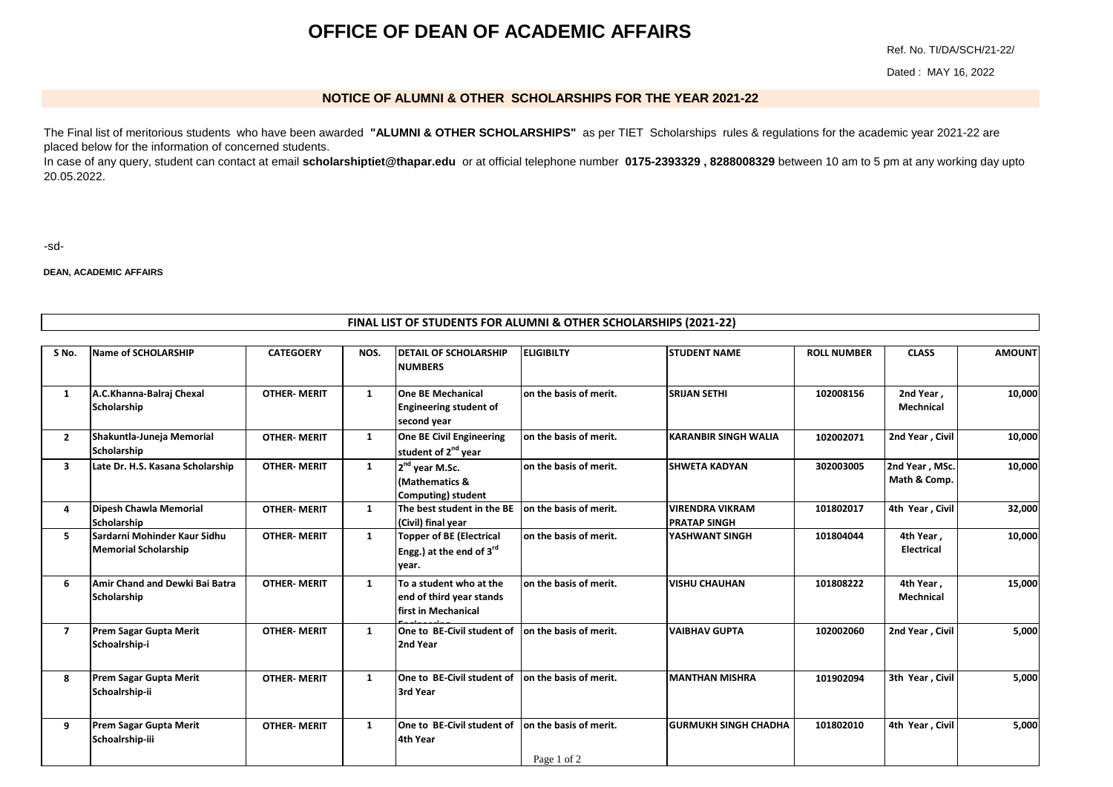## **OFFICE OF DEAN OF ACADEMIC AFFAIRS**

Ref. No. TI/DA/SCH/21-22/

Dated : MAY 16, 2022

## **NOTICE OF ALUMNI & OTHER SCHOLARSHIPS FOR THE YEAR 2021-22**

[The Final list of meritorious students who have been awarded](mailto:scholarshiptiet@thapar.edu) **"ALUMNI & OTHER SCHOLARSHIPS"** as per TIET Scholarships rules & regulations for the academic year 2021-22 are [placed be](mailto:scholarshiptiet@thapar.edu)low for the information of concerned students.

[In case of any query, student can contact at email](mailto:scholarshiptiet@thapar.edu) **scholarshiptiet@thapar.edu** or at official telephone number **0175-2393329 , 8288008329** between 10 am to 5 pm at any working day upto [20.05.202](mailto:scholarshiptiet@thapar.edu)2.

-sd-

**DEAN, ACADEMIC AFFAIRS**

## **FINAL LIST OF STUDENTS FOR ALUMNI & OTHER SCHOLARSHIPS (2021-22)**

| S No.        | Name of SCHOLARSHIP                                         | <b>CATEGOERY</b>    | NOS. | <b>DETAIL OF SCHOLARSHIP</b><br><b>NUMBERS</b>                                   | <b>ELIGIBILTY</b>                     | <b>STUDENT NAME</b>                           | <b>ROLL NUMBER</b> | <b>CLASS</b>                   | <b>AMOUNT</b> |
|--------------|-------------------------------------------------------------|---------------------|------|----------------------------------------------------------------------------------|---------------------------------------|-----------------------------------------------|--------------------|--------------------------------|---------------|
| 1            | A.C.Khanna-Balraj Chexal<br>Scholarship                     | <b>OTHER-MERIT</b>  | 1    | <b>One BE Mechanical</b><br><b>Engineering student of</b><br>second year         | on the basis of merit.                | <b>SRIJAN SETHI</b>                           | 102008156          | 2nd Year,<br><b>Mechnical</b>  | 10,000        |
| $\mathbf{2}$ | Shakuntla-Juneja Memorial<br>Scholarship                    | <b>OTHER-MERIT</b>  | 1    | One BE Civil Engineering<br>student of 2 <sup>nd</sup> year                      | on the basis of merit.                | <b>KARANBIR SINGH WALIA</b>                   | 102002071          | 2nd Year, Civil                | 10,000        |
| 3            | Late Dr. H.S. Kasana Scholarship                            | <b>OTHER-MERIT</b>  | 1    | 2 <sup>nd</sup> year M.Sc.<br>(Mathematics &<br><b>Computing</b> ) student       | on the basis of merit.                | <b>ISHWETA KADYAN</b>                         | 302003005          | 2nd Year, MSc.<br>Math & Comp. | 10,000        |
| 4            | Dipesh Chawla Memorial<br>Scholarship                       | <b>OTHER-MERIT</b>  | 1    | The best student in the BE<br>(Civil) final year                                 | on the basis of merit.                | <b>VIRENDRA VIKRAM</b><br><b>PRATAP SINGH</b> | 101802017          | 4th Year, Civil                | 32,000        |
| 5.           | <b>Sardarni Mohinder Kaur Sidhu</b><br>Memorial Scholarship | <b>OTHER-MERIT</b>  | 1    | <b>Topper of BE (Electrical</b><br>Engg.) at the end of $3^{\text{rd}}$<br>year. | on the basis of merit.                | YASHWANT SINGH                                | 101804044          | 4th Year,<br><b>Electrical</b> | 10,000        |
| 6            | Amir Chand and Dewki Bai Batra<br>Scholarship               | <b>OTHER-MERIT</b>  | 1    | To a student who at the<br>end of third year stands<br>lfirst in Mechanical      | on the basis of merit.                | <b>VISHU CHAUHAN</b>                          | 101808222          | 4th Year,<br>Mechnical         | 15,000        |
| 7            | <b>Prem Sagar Gupta Merit</b><br>Schoalrship-i              | <b>OTHER-MERIT</b>  | 1    | One to BE-Civil student of<br>2nd Year                                           | on the basis of merit.                | <b>VAIBHAV GUPTA</b>                          | 102002060          | 2nd Year, Civil                | 5,000         |
| 8            | <b>Prem Sagar Gupta Merit</b><br>Schoalrship-ii             | <b>OTHER- MERIT</b> | 1    | One to BE-Civil student of<br>3rd Year                                           | on the basis of merit.                | <b>MANTHAN MISHRA</b>                         | 101902094          | 3th Year, Civil                | 5,000         |
| 9            | <b>Prem Sagar Gupta Merit</b><br>Schoalrship-iii            | <b>OTHER-MERIT</b>  | 1    | One to BE-Civil student of<br>4th Year                                           | on the basis of merit.<br>Page 1 of 2 | <b>GURMUKH SINGH CHADHA</b>                   | 101802010          | 4th Year, Civil                | 5,000         |